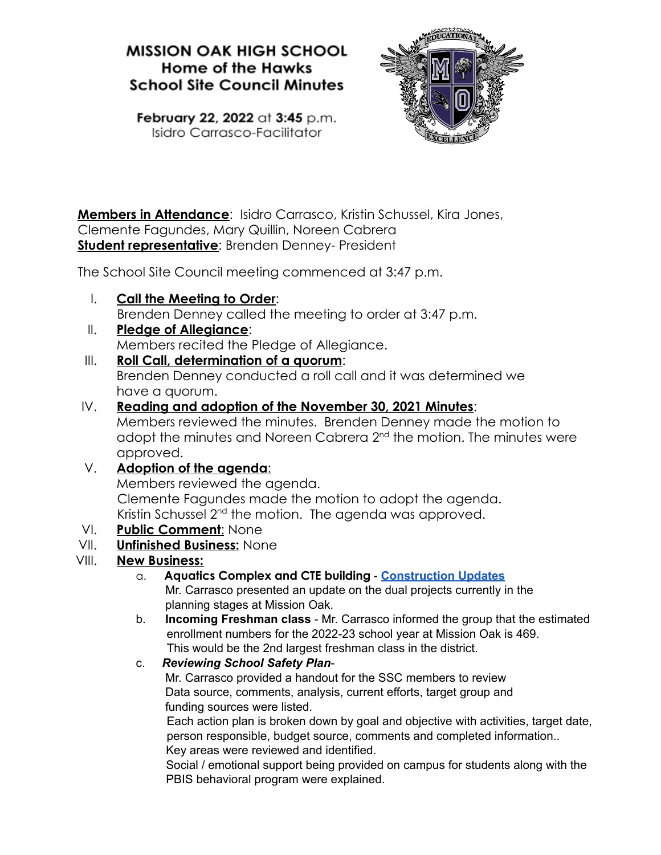# **MISSION OAK HIGH SCHOOL Home of the Hawks School Site Council Minutes**



February 22, 2022 at 3:45 p.m. Isidro Carrasco-Facilitator

**Members in Attendance**: Isidro Carrasco, Kristin Schussel, Kira Jones, Clemente Fagundes, Mary Quillin, Noreen Cabrera **Student representative**: Brenden Denney- President

The School Site Council meeting commenced at 3:47 p.m.

I. **Call the Meeting to Order**:

Brenden Denney called the meeting to order at 3:47 p.m.

II. **Pledge of Allegiance**:

Members recited the Pledge of Allegiance.

III. **Roll Call, determination of a quorum**:

Brenden Denney conducted a roll call and it was determined we have a quorum.

### IV. **Reading and adoption of the November 30, 2021 Minutes**:

Members reviewed the minutes. Brenden Denney made the motion to adopt the minutes and Noreen Cabrera 2<sup>nd</sup> the motion. The minutes were approved.

## V. **Adoption of the agenda**:

Members reviewed the agenda. Clemente Fagundes made the motion to adopt the agenda. Kristin Schussel 2<sup>nd</sup> the motion. The agenda was approved.

### VI. **Public Comment**: None

### VII. **Unfinished Business:** None

## VIII. **New Business:**

- a. **Aquatics Complex and CTE building [Construction](https://docs.google.com/presentation/d/1qbUl-K2mBtdXlxrGzFvEgFTRn8ow8c56gUSIx6zCz5Y/edit#slide=id.g116d6e861c2_0_20) Updates** Mr. Carrasco presented an update on the dual projects currently in the planning stages at Mission Oak.
- b. **Incoming Freshman class** Mr. Carrasco informed the group that the estimated enrollment numbers for the 2022-23 school year at Mission Oak is 469. This would be the 2nd largest freshman class in the district.

### c. *Reviewing School Safety Plan*-

Mr. Carrasco provided a handout for the SSC members to review Data source, comments, analysis, current efforts, target group and funding sources were listed.

Each action plan is broken down by goal and objective with activities, target date, person responsible, budget source, comments and completed information.. Key areas were reviewed and identified.

Social / emotional support being provided on campus for students along with the PBIS behavioral program were explained.